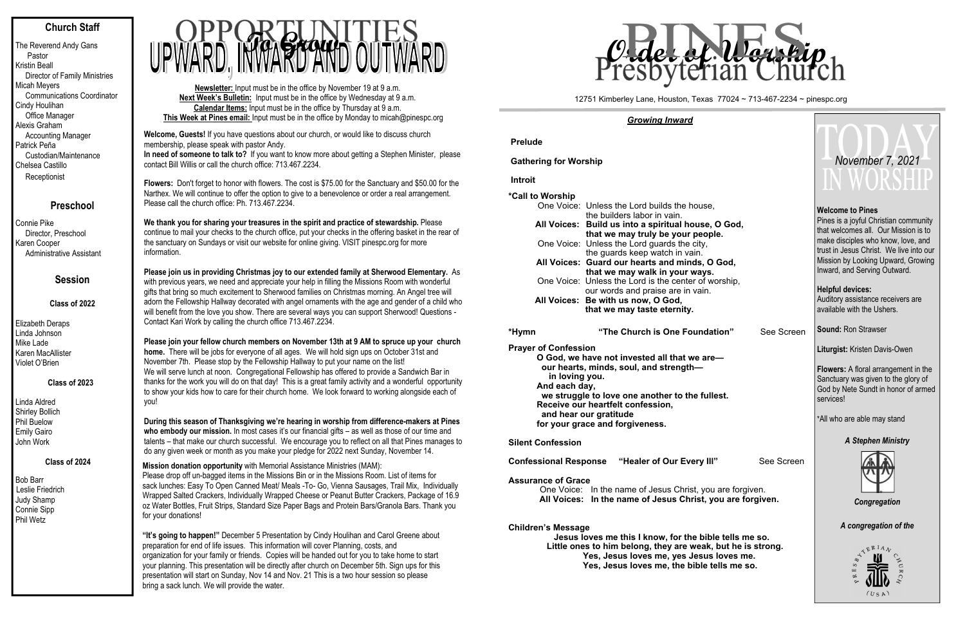# **Church Staff**

The Reverend Andy Gans Pastor Kristin Beall Director of Family Ministries Micah Meyers Communications Coordinator Cindy Houlihan Office Manager Alexis Graham Accounting Manager Patrick Peña Custodian/Maintenance Chelsea Castillo **Receptionist** 

## **Preschool**

Connie Pike Director, Preschool Karen Cooper Administrative Assistant

# **Session**

### **Class of 2022**

Elizabeth Deraps Linda Johnson Mike Lade Karen MacAllister Violet O'Brien

## **Class of 2023**

Linda Aldred Shirley Bollich Phil Buelow Emily Gairo John Work

## **Class of 2024**

Bob Barr Leslie Friedrich Judy Shamp Connie Sipp Phil Wetz

**Newsletter:** Input must be in the office by November 19 at 9 a.m. **Next Week's Bulletin:** Input must be in the office by Wednesday at 9 a.m. **Calendar Items:** Input must be in the office by Thursday at 9 a.m. **This Week at Pines email:** Input must be in the office by Monday to micah@pinespc.org

**Please join us in providing Christmas joy to our extended family at Sherwood Elementary.** As with previous years, we need and appreciate your help in filling the Missions Room with wonderful gifts that bring so much excitement to Sherwood families on Christmas morning. An Angel tree will adorn the Fellowship Hallway decorated with angel ornaments with the age and gender of a child who will benefit from the love you show. There are several ways you can support Sherwood! Questions -<br>Contact Kari Work by calling the church office 713.467.2234. Contact Kari Work by calling the church office 713.467.2234.



**Welcome, Guests!** If you have questions about our church, or would like to discuss church membership, please speak with pastor Andy. **In need of someone to talk to?** If you want to know more about getting a Stephen Minister, please

contact Bill Willis or call the church office: 713.467.2234.

**Flowers:** Don't forget to honor with flowers. The cost is \$75.00 for the Sanctuary and \$50.00 for the Narthex. We will continue to offer the option to give to a benevolence or order a real arrangement. Please call the church office: Ph. 713.467.2234.

**We thank you for sharing your treasures in the spirit and practice of stewardship.** Please continue to mail your checks to the church office, put your checks in the offering basket in the rear of the sanctuary on Sundays or visit our website for online giving. VISIT pinespc.org for more information.

**Please join your fellow church members on November 13th at 9 AM to spruce up your church home.** There will be jobs for everyone of all ages. We will hold sign ups on October 31st and November 7th. Please stop by the Fellowship Hallway to put your name on the list! We will serve lunch at noon. Congregational Fellowship has offered to provide a Sandwich Bar in thanks for the work you will do on that day! This is a great family activity and a wonderful opportunity to show your kids how to care for their church home. We look forward to working alongside each of you!

**During this season of Thanksgiving we're hearing in worship from difference-makers at Pines who embody our mission.** In most cases it's our financial gifts – as well as those of our time and talents – that make our church successful. We encourage you to reflect on all that Pines manages to do any given week or month as you make your pledge for 2022 next Sunday, November 14.

**Mission donation opportunity** with Memorial Assistance Ministries (MAM): Please drop off un-bagged items in the Missions Bin or in the Missions Room. List of items for sack lunches: Easy To Open Canned Meat/ Meals -To- Go, Vienna Sausages, Trail Mix, Individually Wrapped Salted Crackers, Individually Wrapped Cheese or Peanut Butter Crackers, Package of 16.9 oz Water Bottles, Fruit Strips, Standard Size Paper Bags and Protein Bars/Granola Bars. Thank you for your donations!

**"It's going to happen!"** December 5 Presentation by Cindy Houlihan and Carol Greene about preparation for end of life issues. This information will cover Planning, costs, and organization for your family or friends. Copies will be handed out for you to take home to start your planning. This presentation will be directly after church on December 5th. Sign ups for this presentation will start on Sunday, Nov 14 and Nov. 21 This is a two hour session so please bring a sack lunch. We will provide the water.

#### *Growing Inward*

#### **Assur**

#### **Child**

|                                                                | <u>Growing inward</u>                                                                                                                                                                                                                                                                                                                                                                                |                                                                                                                                                                                                                                                                 |
|----------------------------------------------------------------|------------------------------------------------------------------------------------------------------------------------------------------------------------------------------------------------------------------------------------------------------------------------------------------------------------------------------------------------------------------------------------------------------|-----------------------------------------------------------------------------------------------------------------------------------------------------------------------------------------------------------------------------------------------------------------|
| <b>Prelude</b>                                                 |                                                                                                                                                                                                                                                                                                                                                                                                      |                                                                                                                                                                                                                                                                 |
| <b>Gathering for Worship</b>                                   |                                                                                                                                                                                                                                                                                                                                                                                                      | November 7, 2021                                                                                                                                                                                                                                                |
| <b>Introit</b>                                                 |                                                                                                                                                                                                                                                                                                                                                                                                      | IN WORSHIR                                                                                                                                                                                                                                                      |
| *Call to Worship                                               | One Voice: Unless the Lord builds the house,<br>the builders labor in vain.<br>All Voices: Build us into a spiritual house, O God,<br>that we may truly be your people.<br>One Voice: Unless the Lord guards the city,<br>the guards keep watch in vain.<br>All Voices: Guard our hearts and minds, O God,<br>that we may walk in your ways.<br>One Voice: Unless the Lord is the center of worship, | <b>Welcome to Pines</b><br>Pines is a joyful Christian community<br>that welcomes all. Our Mission is to<br>make disciples who know, love, and<br>trust in Jesus Christ. We live into our<br>Mission by Looking Upward, Growing<br>Inward, and Serving Outward. |
|                                                                | our words and praise are in vain.<br>All Voices: Be with us now, O God,<br>that we may taste eternity.                                                                                                                                                                                                                                                                                               | <b>Helpful devices:</b><br>Auditory assistance receivers are<br>available with the Ushers.                                                                                                                                                                      |
| *Hymn                                                          | "The Church is One Foundation"<br>See Screen                                                                                                                                                                                                                                                                                                                                                         | <b>Sound: Ron Strawser</b>                                                                                                                                                                                                                                      |
| <b>Prayer of Confession</b><br>in loving you.<br>And each day, | O God, we have not invested all that we are-<br>our hearts, minds, soul, and strength-<br>we struggle to love one another to the fullest.<br>Receive our heartfelt confession,<br>and hear our gratitude<br>for your grace and forgiveness.                                                                                                                                                          | Liturgist: Kristen Davis-Owen<br><b>Flowers:</b> A floral arrangement in the<br>Sanctuary was given to the glory of<br>God by Nete Sundt in honor of armed<br>services!<br>*All who are able may stand                                                          |
| <b>Silent Confession</b>                                       |                                                                                                                                                                                                                                                                                                                                                                                                      | <b>A Stephen Ministry</b>                                                                                                                                                                                                                                       |
| <b>Assurance of Grace</b>                                      | See Screen<br><b>Confessional Response "Healer of Our Every III"</b><br>One Voice: In the name of Jesus Christ, you are forgiven.<br>All Voices: In the name of Jesus Christ, you are forgiven.                                                                                                                                                                                                      | Congregation                                                                                                                                                                                                                                                    |
| <b>Children's Message</b>                                      | Jesus loves me this I know, for the bible tells me so.<br>Little ones to him belong, they are weak, but he is strong.<br>Yes, Jesus loves me, yes Jesus loves me.<br>Yes, Jesus loves me, the bible tells me so.                                                                                                                                                                                     | A congregation of the<br>(USA)                                                                                                                                                                                                                                  |

#### 12751 Kimberley Lane, Houston, Texas 77024 ~ 713-467-2234 ~ pinespc.org